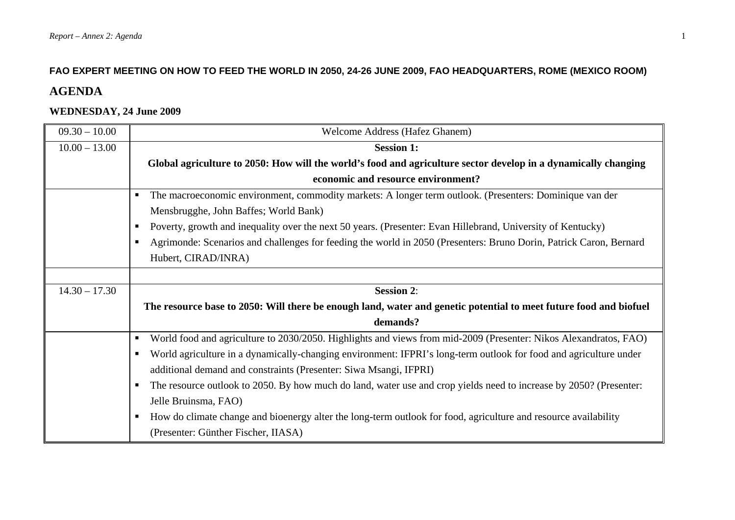#### **FAO EXPERT MEETING ON HOW TO FEED THE WORLD IN 2050, 24-26 JUNE 2009, FAO HEADQUARTERS, ROME (MEXICO ROOM)**

# **AGENDA**

#### **WEDNESDAY, 24 June 2009**

| $09.30 - 10.00$ | <b>Welcome Address (Hafez Ghanem)</b>                                                                                 |
|-----------------|-----------------------------------------------------------------------------------------------------------------------|
| $10.00 - 13.00$ | <b>Session 1:</b>                                                                                                     |
|                 | Global agriculture to 2050: How will the world's food and agriculture sector develop in a dynamically changing        |
|                 | economic and resource environment?                                                                                    |
|                 | The macroeconomic environment, commodity markets: A longer term outlook. (Presenters: Dominique van der               |
|                 | Mensbrugghe, John Baffes; World Bank)                                                                                 |
|                 | Poverty, growth and inequality over the next 50 years. (Presenter: Evan Hillebrand, University of Kentucky)<br>ш      |
|                 | Agrimonde: Scenarios and challenges for feeding the world in 2050 (Presenters: Bruno Dorin, Patrick Caron, Bernard    |
|                 | Hubert, CIRAD/INRA)                                                                                                   |
|                 |                                                                                                                       |
| $14.30 - 17.30$ | <b>Session 2:</b>                                                                                                     |
|                 |                                                                                                                       |
|                 | The resource base to 2050: Will there be enough land, water and genetic potential to meet future food and biofuel     |
|                 | demands?                                                                                                              |
|                 | World food and agriculture to 2030/2050. Highlights and views from mid-2009 (Presenter: Nikos Alexandratos, FAO)<br>п |
|                 | World agriculture in a dynamically-changing environment: IFPRI's long-term outlook for food and agriculture under     |
|                 | additional demand and constraints (Presenter: Siwa Msangi, IFPRI)                                                     |
|                 | The resource outlook to 2050. By how much do land, water use and crop yields need to increase by 2050? (Presenter:    |
|                 | Jelle Bruinsma, FAO)                                                                                                  |
|                 | How do climate change and bioenergy alter the long-term outlook for food, agriculture and resource availability<br>п  |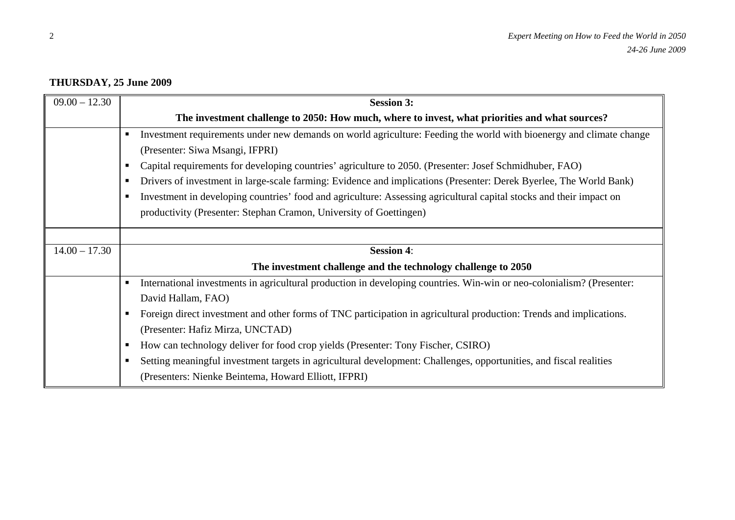## **THURSDAY, 25 June 2009**

| $09.00 - 12.30$ | <b>Session 3:</b>                                                                                                           |
|-----------------|-----------------------------------------------------------------------------------------------------------------------------|
|                 | The investment challenge to 2050: How much, where to invest, what priorities and what sources?                              |
|                 | Investment requirements under new demands on world agriculture: Feeding the world with bioenergy and climate change         |
|                 | (Presenter: Siwa Msangi, IFPRI)                                                                                             |
|                 | Capital requirements for developing countries' agriculture to 2050. (Presenter: Josef Schmidhuber, FAO)<br>п.               |
|                 | Drivers of investment in large-scale farming: Evidence and implications (Presenter: Derek Byerlee, The World Bank)<br>п.    |
|                 | Investment in developing countries' food and agriculture: Assessing agricultural capital stocks and their impact on<br>п    |
|                 | productivity (Presenter: Stephan Cramon, University of Goettingen)                                                          |
|                 |                                                                                                                             |
| $14.00 - 17.30$ | <b>Session 4:</b>                                                                                                           |
|                 | The investment challenge and the technology challenge to 2050                                                               |
|                 | International investments in agricultural production in developing countries. Win-win or neo-colonialism? (Presenter:<br>п. |
|                 | David Hallam, FAO)                                                                                                          |
|                 | Foreign direct investment and other forms of TNC participation in agricultural production: Trends and implications.         |
|                 | (Presenter: Hafiz Mirza, UNCTAD)                                                                                            |
|                 | How can technology deliver for food crop yields (Presenter: Tony Fischer, CSIRO)<br>ш                                       |
|                 | Setting meaningful investment targets in agricultural development: Challenges, opportunities, and fiscal realities          |
|                 | (Presenters: Nienke Beintema, Howard Elliott, IFPRI)                                                                        |